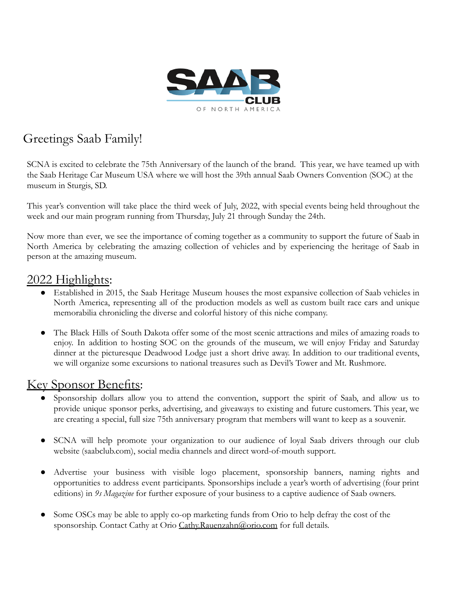

# Greetings Saab Family!

SCNA is excited to celebrate the 75th Anniversary of the launch of the brand. This year, we have teamed up with the Saab Heritage Car Museum USA where we will host the 39th annual Saab Owners Convention (SOC) at the museum in Sturgis, SD.

This year's convention will take place the third week of July, 2022, with special events being held throughout the week and our main program running from Thursday, July 21 through Sunday the 24th.

Now more than ever, we see the importance of coming together as a community to support the future of Saab in North America by celebrating the amazing collection of vehicles and by experiencing the heritage of Saab in person at the amazing museum.

### 2022 Highlights:

- Established in 2015, the Saab Heritage Museum houses the most expansive collection of Saab vehicles in North America, representing all of the production models as well as custom built race cars and unique memorabilia chronicling the diverse and colorful history of this niche company.
- The Black Hills of South Dakota offer some of the most scenic attractions and miles of amazing roads to enjoy. In addition to hosting SOC on the grounds of the museum, we will enjoy Friday and Saturday dinner at the picturesque Deadwood Lodge just a short drive away. In addition to our traditional events, we will organize some excursions to national treasures such as Devil's Tower and Mt. Rushmore.

### Key Sponsor Benefits:

- Sponsorship dollars allow you to attend the convention, support the spirit of Saab, and allow us to provide unique sponsor perks, advertising, and giveaways to existing and future customers. This year, we are creating a special, full size 75th anniversary program that members will want to keep as a souvenir.
- SCNA will help promote your organization to our audience of loyal Saab drivers through our club website (saabclub.com), social media channels and direct word-of-mouth support.
- Advertise your business with visible logo placement, sponsorship banners, naming rights and opportunities to address event participants. Sponsorships include a year's worth of advertising (four print editions) in *9s Magazine* for further exposure of your business to a captive audience of Saab owners.
- Some OSCs may be able to apply co-op marketing funds from Orio to help defray the cost of the sponsorship. Contact Cathy at Orio [Cathy.Rauenzahn@orio.com](mailto:Cathy.Rauenzahn@orio.com) for full details.